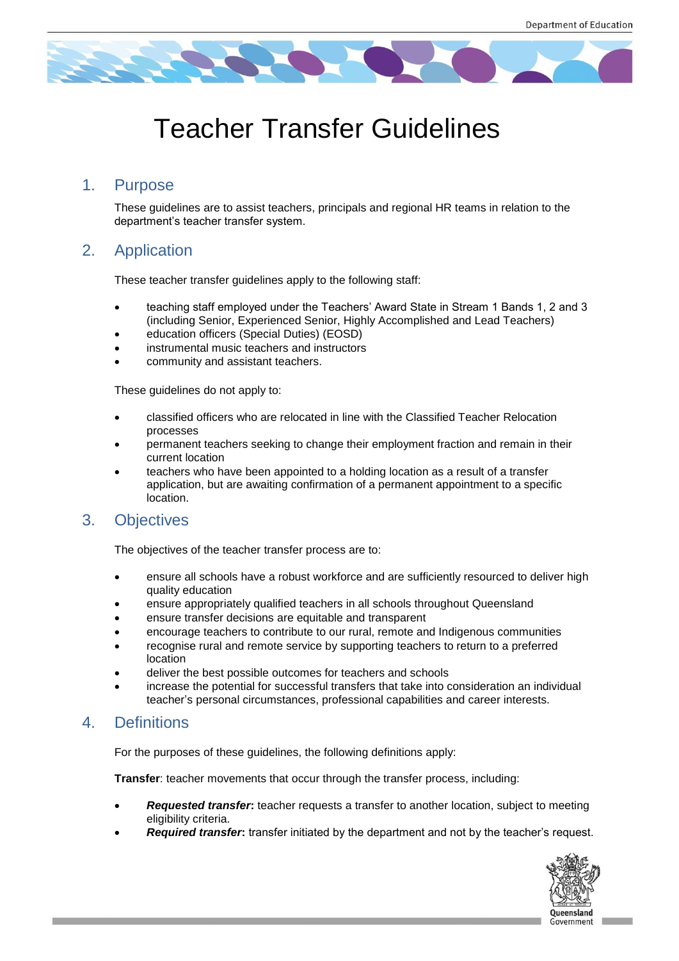

# Teacher Transfer Guidelines

# 1. Purpose

These guidelines are to assist teachers, principals and regional HR teams in relation to the department's teacher transfer system.

# 2. Application

These teacher transfer guidelines apply to the following staff:

- teaching staff employed under the Teachers' Award State in Stream 1 Bands 1, 2 and 3 (including Senior, Experienced Senior, Highly Accomplished and Lead Teachers)
- education officers (Special Duties) (EOSD)
- instrumental music teachers and instructors
- community and assistant teachers.

These guidelines do not apply to:

- classified officers who are relocated in line with the Classified Teacher Relocation processes
- permanent teachers seeking to change their employment fraction and remain in their current location
- teachers who have been appointed to a holding location as a result of a transfer application, but are awaiting confirmation of a permanent appointment to a specific location.

# 3. Objectives

The objectives of the teacher transfer process are to:

- ensure all schools have a robust workforce and are sufficiently resourced to deliver high quality education
- ensure appropriately qualified teachers in all schools throughout Queensland
- ensure transfer decisions are equitable and transparent
- encourage teachers to contribute to our rural, remote and Indigenous communities
- recognise rural and remote service by supporting teachers to return to a preferred location
- deliver the best possible outcomes for teachers and schools
- increase the potential for successful transfers that take into consideration an individual teacher's personal circumstances, professional capabilities and career interests.

# 4. Definitions

For the purposes of these guidelines, the following definitions apply:

**Transfer**: teacher movements that occur through the transfer process, including:

- *Requested transfer***:** teacher requests a transfer to another location, subject to meeting eligibility criteria.
- **Required transfer:** transfer initiated by the department and not by the teacher's request.

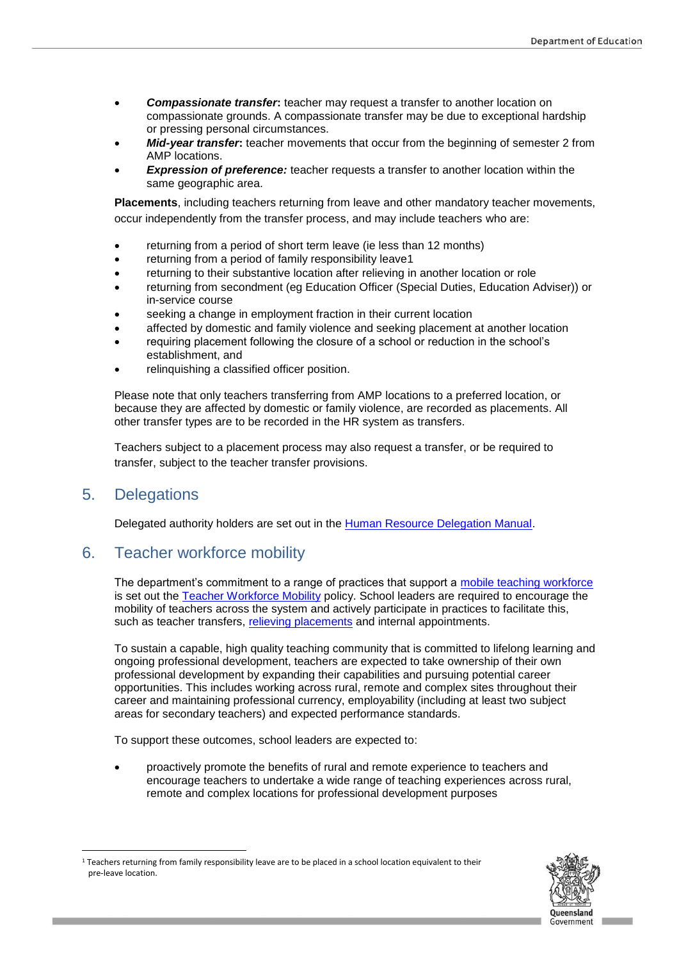- **Compassionate transfer:** teacher may request a transfer to another location on compassionate grounds. A compassionate transfer may be due to exceptional hardship or pressing personal circumstances.
- *Mid-year transfer***:** teacher movements that occur from the beginning of semester 2 from AMP locations.
- *Expression of preference:* teacher requests a transfer to another location within the same geographic area.

**Placements**, including teachers returning from leave and other mandatory teacher movements, occur independently from the transfer process, and may include teachers who are:

- returning from a period of short term leave (ie less than 12 months)
- returning from a period of family responsibility leave1
- returning to their substantive location after relieving in another location or role
- returning from secondment (eg Education Officer (Special Duties, Education Adviser)) or in-service course
- seeking a change in employment fraction in their current location
- affected by domestic and family violence and seeking placement at another location
- requiring placement following the closure of a school or reduction in the school's establishment, and
- relinquishing a classified officer position.

Please note that only teachers transferring from AMP locations to a preferred location, or because they are affected by domestic or family violence, are recorded as placements. All other transfer types are to be recorded in the HR system as transfers.

Teachers subject to a placement process may also request a transfer, or be required to transfer, subject to the teacher transfer provisions.

### 5. Delegations

 $\overline{\phantom{a}}$ 

Delegated authority holders are set out in the [Human Resource Delegation Manual.](https://intranet.qed.qld.gov.au/Services/HumanResources/payrollhr/personaldetailspay/pages/mydelegations.aspx)

# 6. Teacher workforce mobility

The department's commitment to a range of practices that support a [mobile teaching workforce](https://intranet.qed.qld.gov.au/Services/HumanResources/payrollhr/careers/managingyourcareer/Pages/workforce-mobility-principles.aspx) is set out the [Teacher Workforce Mobility](http://ppr.det.qld.gov.au/pif/policies/Documents/Teacher-workforce-mobility-policy.pdf) policy. School leaders are required to encourage the mobility of teachers across the system and actively participate in practices to facilitate this, such as teacher transfers, [relieving placements](https://intranet.qed.qld.gov.au/Services/HumanResources/payrollhr/careers/managingyourcareer/Pages/relievingplacements.aspx) and internal appointments.

To sustain a capable, high quality teaching community that is committed to lifelong learning and ongoing professional development, teachers are expected to take ownership of their own professional development by expanding their capabilities and pursuing potential career opportunities. This includes working across rural, remote and complex sites throughout their career and maintaining professional currency, employability (including at least two subject areas for secondary teachers) and expected performance standards.

To support these outcomes, school leaders are expected to:

 proactively promote the benefits of rural and remote experience to teachers and encourage teachers to undertake a wide range of teaching experiences across rural, remote and complex locations for professional development purposes



<sup>&</sup>lt;sup>1</sup> Teachers returning from family responsibility leave are to be placed in a school location equivalent to their pre-leave location.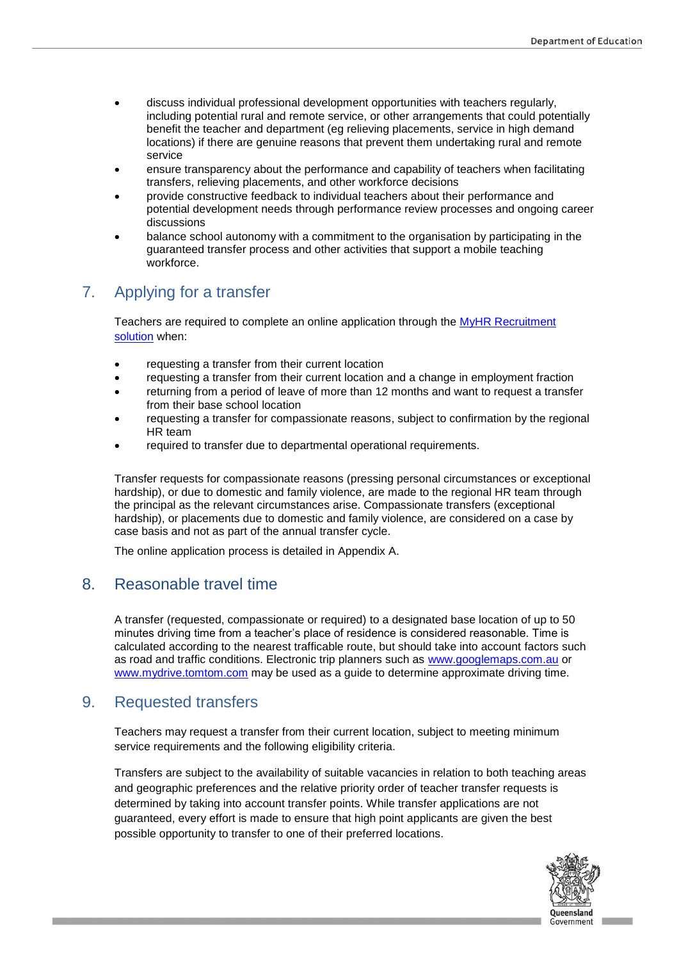- discuss individual professional development opportunities with teachers regularly, including potential rural and remote service, or other arrangements that could potentially benefit the teacher and department (eg relieving placements, service in high demand locations) if there are genuine reasons that prevent them undertaking rural and remote service
- ensure transparency about the performance and capability of teachers when facilitating transfers, relieving placements, and other workforce decisions
- provide constructive feedback to individual teachers about their performance and potential development needs through performance review processes and ongoing career discussions
- balance school autonomy with a commitment to the organisation by participating in the guaranteed transfer process and other activities that support a mobile teaching workforce.

# 7. Applying for a transfer

Teachers are required to complete an online application through the [MyHR Recruitment](https://myhr-rct.eq.edu.au/hrmis/default.aspx) [solution](https://myhr-rct.eq.edu.au/hrmis/default.aspx) when:

- requesting a transfer from their current location
- requesting a transfer from their current location and a change in employment fraction
- returning from a period of leave of more than 12 months and want to request a transfer from their base school location
- requesting a transfer for compassionate reasons, subject to confirmation by the regional HR team
- required to transfer due to departmental operational requirements.

Transfer requests for compassionate reasons (pressing personal circumstances or exceptional hardship), or due to domestic and family violence, are made to the regional HR team through the principal as the relevant circumstances arise. Compassionate transfers (exceptional hardship), or placements due to domestic and family violence, are considered on a case by case basis and not as part of the annual transfer cycle.

The online application process is detailed in Appendix A.

### 8. Reasonable travel time

A transfer (requested, compassionate or required) to a designated base location of up to 50 minutes driving time from a teacher's place of residence is considered reasonable. Time is calculated according to the nearest trafficable route, but should take into account factors such as road and traffic conditions. Electronic trip planners such as [www.googlemaps.com.au](http://www.googlemaps.com.au/) or [www.mydrive.tomtom.com](http://www.mydrive.tomtom.com/) may be used as a guide to determine approximate driving time.

# 9. Requested transfers

Teachers may request a transfer from their current location, subject to meeting minimum service requirements and the following eligibility criteria.

Transfers are subject to the availability of suitable vacancies in relation to both teaching areas and geographic preferences and the relative priority order of teacher transfer requests is determined by taking into account transfer points. While transfer applications are not guaranteed, every effort is made to ensure that high point applicants are given the best possible opportunity to transfer to one of their preferred locations.

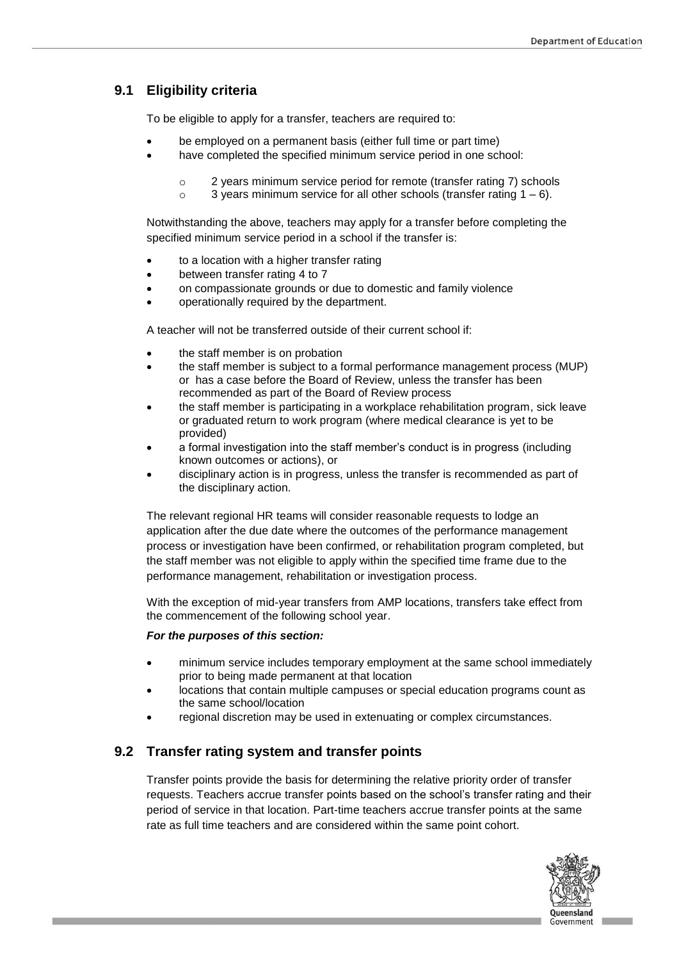### **9.1 Eligibility criteria**

To be eligible to apply for a transfer, teachers are required to:

- be employed on a permanent basis (either full time or part time)
- have completed the specified minimum service period in one school:
	- o 2 years minimum service period for remote (transfer rating 7) schools
	- $\circ$  3 years minimum service for all other schools (transfer rating 1 6).

Notwithstanding the above, teachers may apply for a transfer before completing the specified minimum service period in a school if the transfer is:

- to a location with a higher transfer rating
- between transfer rating 4 to 7
- on compassionate grounds or due to domestic and family violence
- operationally required by the department.

A teacher will not be transferred outside of their current school if:

- the staff member is on probation
- the staff member is subject to a formal performance management process (MUP) or has a case before the Board of Review, unless the transfer has been recommended as part of the Board of Review process
- the staff member is participating in a workplace rehabilitation program, sick leave or graduated return to work program (where medical clearance is yet to be provided)
- a formal investigation into the staff member's conduct is in progress (including known outcomes or actions), or
- disciplinary action is in progress, unless the transfer is recommended as part of the disciplinary action.

The relevant regional HR teams will consider reasonable requests to lodge an application after the due date where the outcomes of the performance management process or investigation have been confirmed, or rehabilitation program completed, but the staff member was not eligible to apply within the specified time frame due to the performance management, rehabilitation or investigation process.

With the exception of mid-year transfers from AMP locations, transfers take effect from the commencement of the following school year.

### *For the purposes of this section:*

- minimum service includes temporary employment at the same school immediately prior to being made permanent at that location
- locations that contain multiple campuses or special education programs count as the same school/location
- regional discretion may be used in extenuating or complex circumstances.

### **9.2 Transfer rating system and transfer points**

Transfer points provide the basis for determining the relative priority order of transfer requests. Teachers accrue transfer points based on the school's transfer rating and their period of service in that location. Part-time teachers accrue transfer points at the same rate as full time teachers and are considered within the same point cohort.

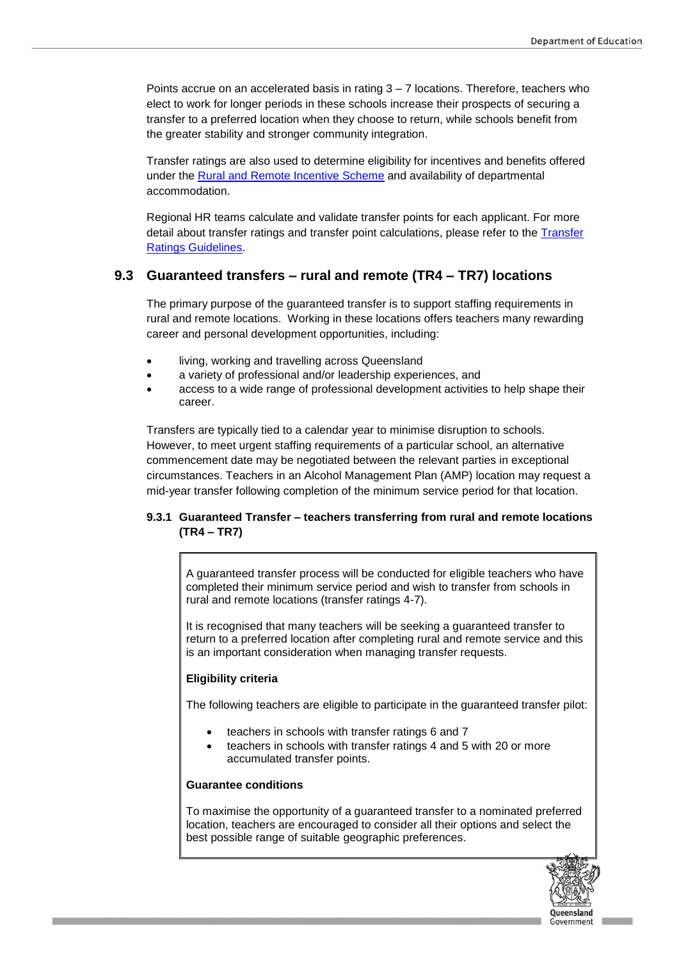Points accrue on an accelerated basis in rating 3 – 7 locations. Therefore, teachers who elect to work for longer periods in these schools increase their prospects of securing a transfer to a preferred location when they choose to return, while schools benefit from the greater stability and stronger community integration.

Transfer ratings are also used to determine eligibility for incentives and benefits offered under the [Rural and Remote Incentive Scheme](http://ppr.det.qld.gov.au/pif/supdoc/Documents/rais-guideline.docx) and availability of departmental accommodation.

Regional HR teams calculate and validate transfer points for each applicant. For more detail about transfer ratings and transfer point calculations, please refer to the [Transfer](https://intranet.qed.qld.gov.au/Services/HumanResources/payrollhr/careers/Documents/transfer-ratings-guidelines.pdf)  [Ratings Guidelines.](https://intranet.qed.qld.gov.au/Services/HumanResources/payrollhr/careers/Documents/transfer-ratings-guidelines.pdf)

### **9.3 Guaranteed transfers – rural and remote (TR4 – TR7) locations**

The primary purpose of the guaranteed transfer is to support staffing requirements in rural and remote locations. Working in these locations offers teachers many rewarding career and personal development opportunities, including:

- living, working and travelling across Queensland
- a variety of professional and/or leadership experiences, and
- access to a wide range of professional development activities to help shape their career.

Transfers are typically tied to a calendar year to minimise disruption to schools. However, to meet urgent staffing requirements of a particular school, an alternative commencement date may be negotiated between the relevant parties in exceptional circumstances. Teachers in an Alcohol Management Plan (AMP) location may request a mid-year transfer following completion of the minimum service period for that location.

### **9.3.1 Guaranteed Transfer – teachers transferring from rural and remote locations (TR4 – TR7)**

A guaranteed transfer process will be conducted for eligible teachers who have completed their minimum service period and wish to transfer from schools in rural and remote locations (transfer ratings 4-7).

It is recognised that many teachers will be seeking a guaranteed transfer to return to a preferred location after completing rural and remote service and this is an important consideration when managing transfer requests.

#### **Eligibility criteria**

The following teachers are eligible to participate in the guaranteed transfer pilot:

- teachers in schools with transfer ratings 6 and 7
- teachers in schools with transfer ratings 4 and 5 with 20 or more accumulated transfer points.

#### **Guarantee conditions**

To maximise the opportunity of a guaranteed transfer to a nominated preferred location, teachers are encouraged to consider all their options and select the best possible range of suitable geographic preferences.

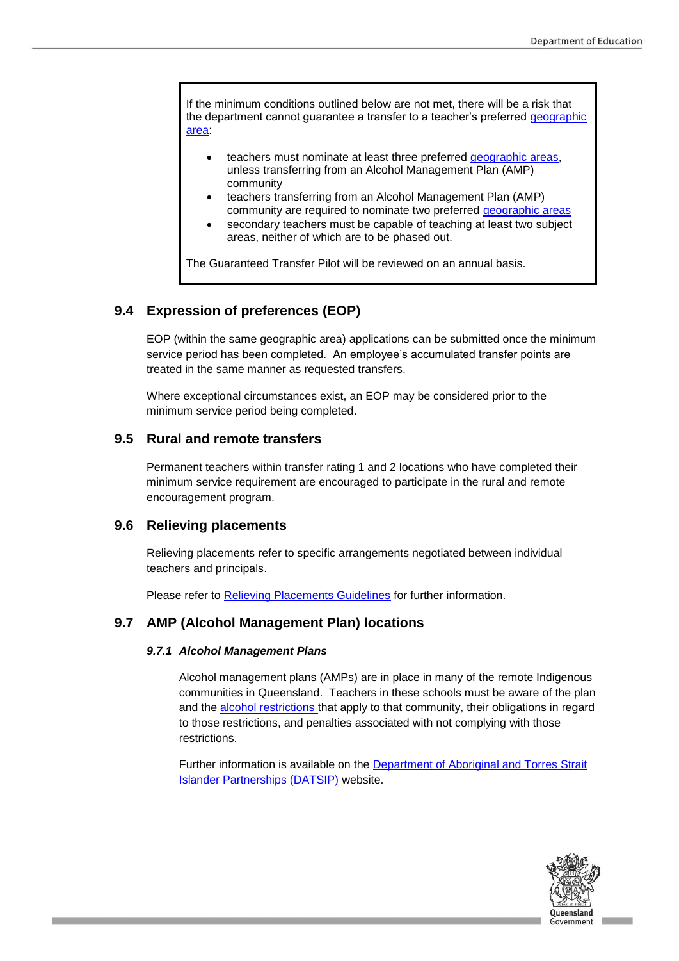If the minimum conditions outlined below are not met, there will be a risk that the department cannot guarantee a transfer to a teacher's preferred geographic [area:](https://intranet.qed.qld.gov.au/Services/HumanResources/payrollhr/careers/managingyourcareer/geographicareas/Pages/default.aspx)

- teachers must nominate at least three preferred [geographic areas,](https://intranet.qed.qld.gov.au/Services/HumanResources/payrollhr/careers/managingyourcareer/geographicareas/Pages/default.aspx) unless transferring from an Alcohol Management Plan (AMP) community
- teachers transferring from an Alcohol Management Plan (AMP) community are required to nominate two preferred [geographic areas](https://intranet.qed.qld.gov.au/Services/HumanResources/payrollhr/careers/managingyourcareer/geographicareas/Pages/default.aspx)
- secondary teachers must be capable of teaching at least two subject areas, neither of which are to be phased out.

The Guaranteed Transfer Pilot will be reviewed on an annual basis.

### **9.4 Expression of preferences (EOP)**

EOP (within the same geographic area) applications can be submitted once the minimum service period has been completed. An employee's accumulated transfer points are treated in the same manner as requested transfers.

Where exceptional circumstances exist, an EOP may be considered prior to the minimum service period being completed.

### **9.5 Rural and remote transfers**

Permanent teachers within transfer rating 1 and 2 locations who have completed their minimum service requirement are encouraged to participate in the rural and remote encouragement program.

### **9.6 Relieving placements**

Relieving placements refer to specific arrangements negotiated between individual teachers and principals.

Please refer to [Relieving Placements Guidelines](https://intranet.qed.qld.gov.au/Services/HumanResources/payrollhr/careers/managingyourcareer/Pages/relievingplacements.aspx) for further information.

### **9.7 AMP (Alcohol Management Plan) locations**

#### *9.7.1 Alcohol Management Plans*

Alcohol management plans (AMPs) are in place in many of the remote Indigenous communities in Queensland. Teachers in these schools must be aware of the plan and the [alcohol restrictions](https://www.qld.gov.au/atsi/health-staying-active/community-alcohol-restrictions/) that apply to that community, their obligations in regard to those restrictions, and penalties associated with not complying with those restrictions.

Further information is available on the **Department of Aboriginal and Torres Strait** [Islander Partnerships \(DATSIP\)](https://www.datsip.qld.gov.au/programs-initiatives/community-alcohol-limits) website.

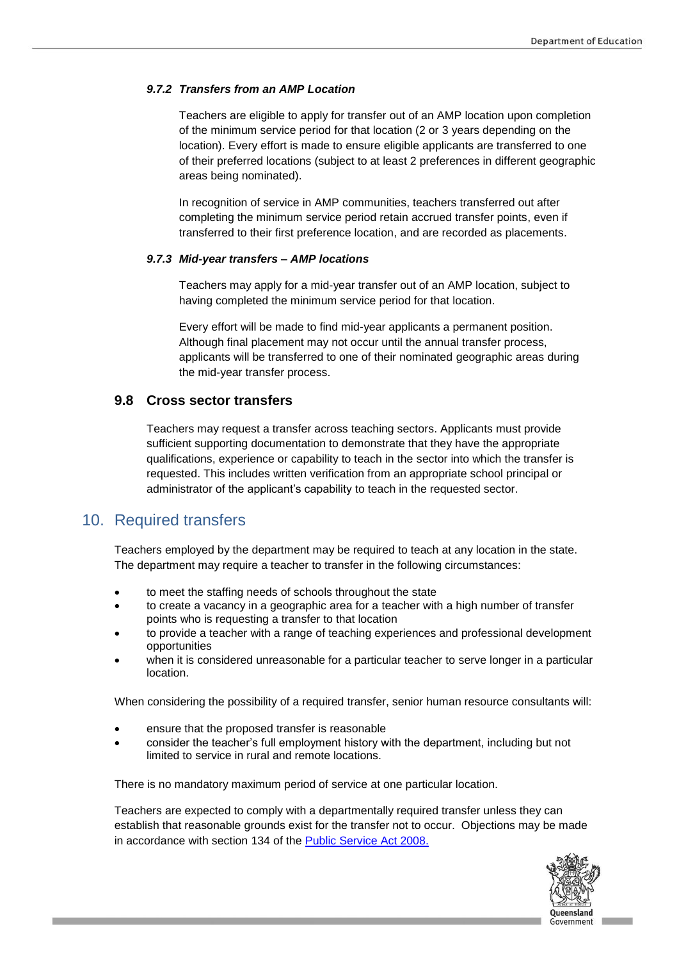#### *9.7.2 Transfers from an AMP Location*

Teachers are eligible to apply for transfer out of an AMP location upon completion of the minimum service period for that location (2 or 3 years depending on the location). Every effort is made to ensure eligible applicants are transferred to one of their preferred locations (subject to at least 2 preferences in different geographic areas being nominated).

In recognition of service in AMP communities, teachers transferred out after completing the minimum service period retain accrued transfer points, even if transferred to their first preference location, and are recorded as placements.

#### *9.7.3 Mid-year transfers – AMP locations*

Teachers may apply for a mid-year transfer out of an AMP location, subject to having completed the minimum service period for that location.

Every effort will be made to find mid-year applicants a permanent position. Although final placement may not occur until the annual transfer process, applicants will be transferred to one of their nominated geographic areas during the mid-year transfer process.

### **9.8 Cross sector transfers**

Teachers may request a transfer across teaching sectors. Applicants must provide sufficient supporting documentation to demonstrate that they have the appropriate qualifications, experience or capability to teach in the sector into which the transfer is requested. This includes written verification from an appropriate school principal or administrator of the applicant's capability to teach in the requested sector.

### 10. Required transfers

Teachers employed by the department may be required to teach at any location in the state. The department may require a teacher to transfer in the following circumstances:

- to meet the staffing needs of schools throughout the state
- to create a vacancy in a geographic area for a teacher with a high number of transfer points who is requesting a transfer to that location
- to provide a teacher with a range of teaching experiences and professional development opportunities
- when it is considered unreasonable for a particular teacher to serve longer in a particular location.

When considering the possibility of a required transfer, senior human resource consultants will:

- ensure that the proposed transfer is reasonable
- consider the teacher's full employment history with the department, including but not limited to service in rural and remote locations.

There is no mandatory maximum period of service at one particular location.

Teachers are expected to comply with a departmentally required transfer unless they can establish that reasonable grounds exist for the transfer not to occur. Objections may be made in accordance with section 134 of the [Public Service Act 2008.](https://www.legislation.qld.gov.au/LEGISLTN/CURRENT/P/PublicServA08.pdf)

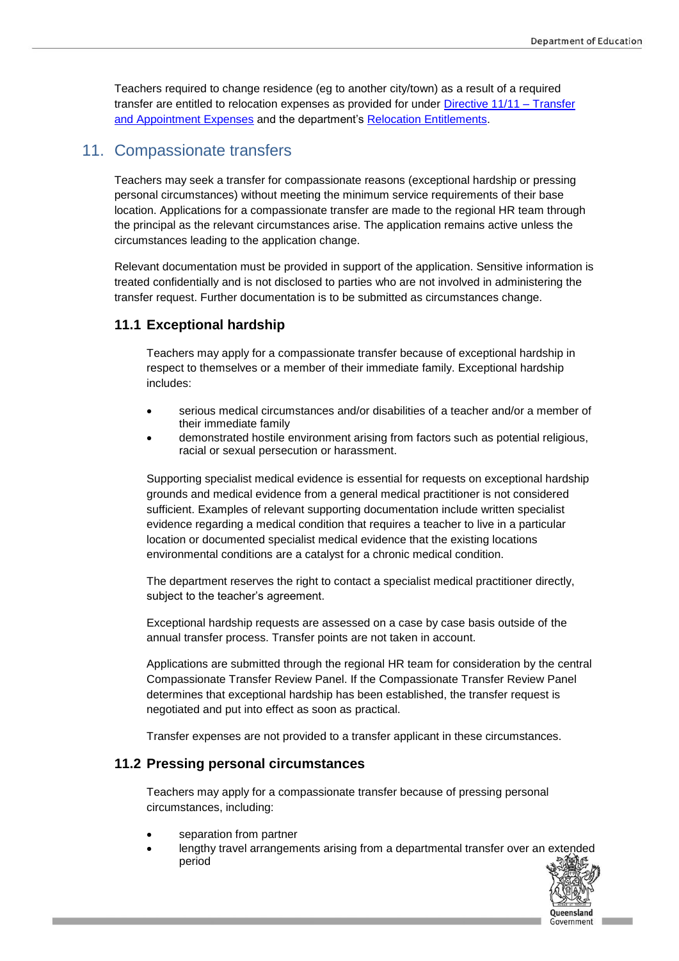Teachers required to change residence (eg to another city/town) as a result of a required transfer are entitled to relocation expenses as provided for under [Directive 11/11 –](https://www.forgov.qld.gov.au/directives-policies-and-guidelines) Transfer [and Appointment Expenses](https://www.forgov.qld.gov.au/directives-policies-and-guidelines) and the department's [Relocation Entitlements.](https://intranet.qed.qld.gov.au/Services/HumanResources/payrollhr/careers/Documents/relocation-entitlements-appointments-transfers.pdf)

# 11. Compassionate transfers

Teachers may seek a transfer for compassionate reasons (exceptional hardship or pressing personal circumstances) without meeting the minimum service requirements of their base location. Applications for a compassionate transfer are made to the regional HR team through the principal as the relevant circumstances arise. The application remains active unless the circumstances leading to the application change.

Relevant documentation must be provided in support of the application. Sensitive information is treated confidentially and is not disclosed to parties who are not involved in administering the transfer request. Further documentation is to be submitted as circumstances change.

### **11.1 Exceptional hardship**

Teachers may apply for a compassionate transfer because of exceptional hardship in respect to themselves or a member of their immediate family. Exceptional hardship includes:

- serious medical circumstances and/or disabilities of a teacher and/or a member of their immediate family
- demonstrated hostile environment arising from factors such as potential religious, racial or sexual persecution or harassment.

Supporting specialist medical evidence is essential for requests on exceptional hardship grounds and medical evidence from a general medical practitioner is not considered sufficient. Examples of relevant supporting documentation include written specialist evidence regarding a medical condition that requires a teacher to live in a particular location or documented specialist medical evidence that the existing locations environmental conditions are a catalyst for a chronic medical condition.

The department reserves the right to contact a specialist medical practitioner directly, subject to the teacher's agreement.

Exceptional hardship requests are assessed on a case by case basis outside of the annual transfer process. Transfer points are not taken in account.

Applications are submitted through the regional HR team for consideration by the central Compassionate Transfer Review Panel. If the Compassionate Transfer Review Panel determines that exceptional hardship has been established, the transfer request is negotiated and put into effect as soon as practical.

Transfer expenses are not provided to a transfer applicant in these circumstances.

### **11.2 Pressing personal circumstances**

Teachers may apply for a compassionate transfer because of pressing personal circumstances, including:

- separation from partner
- lengthy travel arrangements arising from a departmental transfer over an extended period

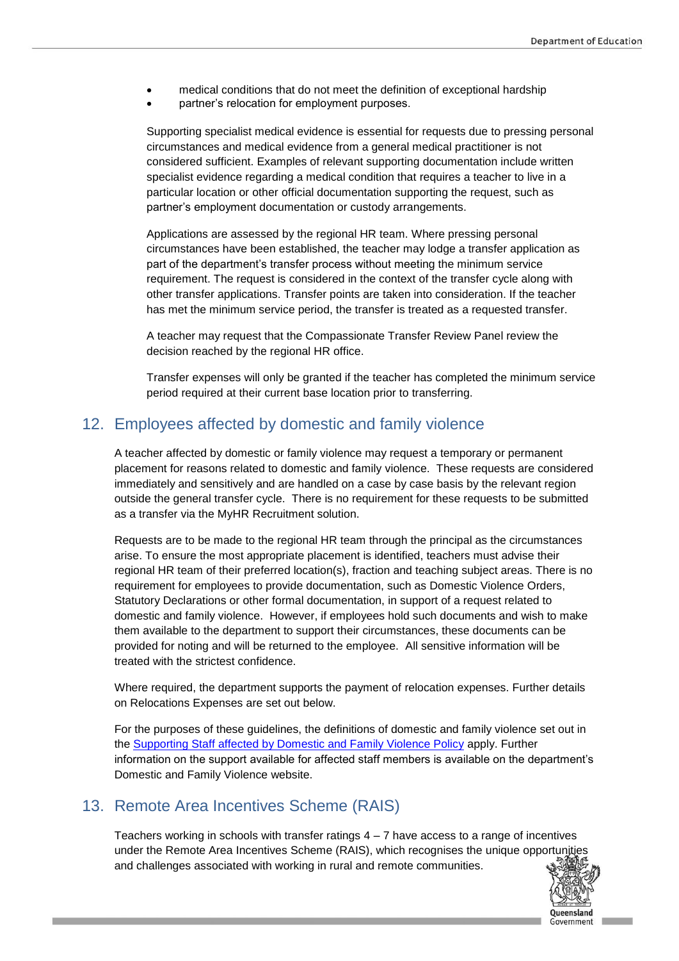- medical conditions that do not meet the definition of exceptional hardship
- partner's relocation for employment purposes.

Supporting specialist medical evidence is essential for requests due to pressing personal circumstances and medical evidence from a general medical practitioner is not considered sufficient. Examples of relevant supporting documentation include written specialist evidence regarding a medical condition that requires a teacher to live in a particular location or other official documentation supporting the request, such as partner's employment documentation or custody arrangements.

Applications are assessed by the regional HR team. Where pressing personal circumstances have been established, the teacher may lodge a transfer application as part of the department's transfer process without meeting the minimum service requirement. The request is considered in the context of the transfer cycle along with other transfer applications. Transfer points are taken into consideration. If the teacher has met the minimum service period, the transfer is treated as a requested transfer.

A teacher may request that the Compassionate Transfer Review Panel review the decision reached by the regional HR office.

Transfer expenses will only be granted if the teacher has completed the minimum service period required at their current base location prior to transferring.

### 12. Employees affected by domestic and family violence

A teacher affected by domestic or family violence may request a temporary or permanent placement for reasons related to domestic and family violence. These requests are considered immediately and sensitively and are handled on a case by case basis by the relevant region outside the general transfer cycle. There is no requirement for these requests to be submitted as a transfer via the MyHR Recruitment solution.

Requests are to be made to the regional HR team through the principal as the circumstances arise. To ensure the most appropriate placement is identified, teachers must advise their regional HR team of their preferred location(s), fraction and teaching subject areas. There is no requirement for employees to provide documentation, such as Domestic Violence Orders, Statutory Declarations or other formal documentation, in support of a request related to domestic and family violence. However, if employees hold such documents and wish to make them available to the department to support their circumstances, these documents can be provided for noting and will be returned to the employee. All sensitive information will be treated with the strictest confidence.

Where required, the department supports the payment of [relocation expenses.](https://oneportal.deta.qld.gov.au/Services/HumanResources/Forms/Documents/relocation-entitlements-appointments-transfers.pdf) Further details on Relocations Expenses are set out below.

For the purposes of these guidelines, the definitions of domestic and family violence set out in the [Supporting Staff affected by Domestic and Family Violence Policy](https://intranet.qed.qld.gov.au/about/PrioritiesandInitiatives/NotNowNotEverDFV/Pages/EmployeeSupports.aspx) apply. Further information on the support available for affected staff members is available on the department's [Domestic and Family Violence](https://oneportal.deta.qld.gov.au/about/PrioritiesandInitiatives/NotNowNotEverDFV/Pages/EmployeeSupports.aspx) website.

### 13. Remote Area Incentives Scheme (RAIS)

Teachers working in schools with transfer ratings  $4 - 7$  have access to a range of incentives under the Remote Area Incentives Scheme (RAIS), which recognises the unique opportunities and challenges associated with working in rural and remote communities.

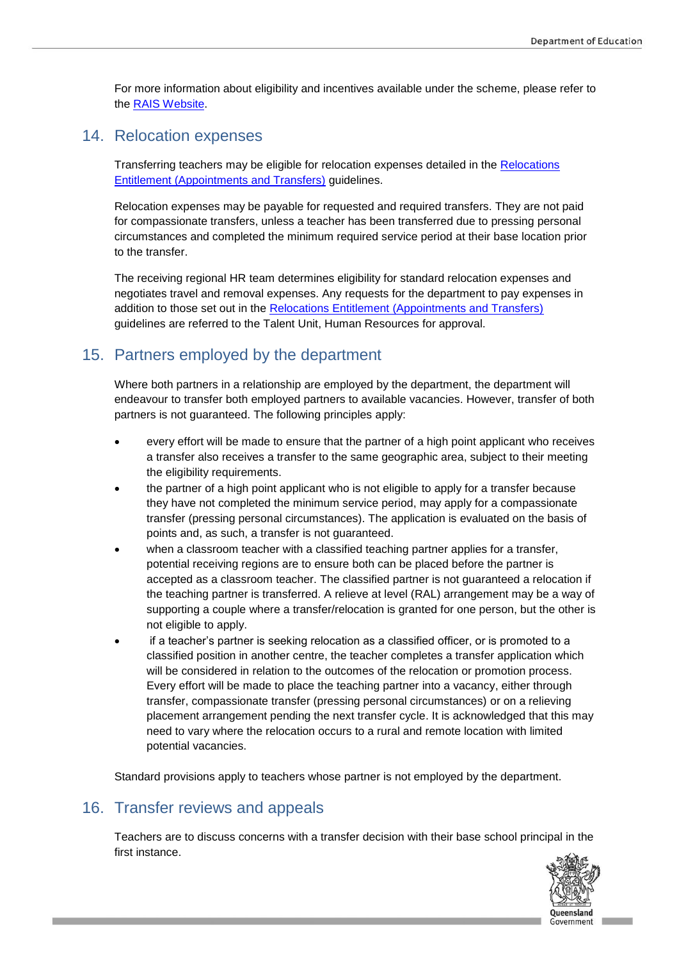For more information about eligibility and incentives available under the scheme, please refer to the [RAIS Website.](https://teach.qld.gov.au/teaching-with-us/pay-and-benefits/rural-remote-incentives)

### 14. Relocation expenses

Transferring teachers may be eligible for relocation expenses detailed in the [Relocations](https://intranet.qed.qld.gov.au/Services/HumanResources/payrollhr/careers/Documents/relocation-entitlements-appointments-transfers.pdf)  [Entitlement \(Appointments and Transfers\)](https://intranet.qed.qld.gov.au/Services/HumanResources/payrollhr/careers/Documents/relocation-entitlements-appointments-transfers.pdf) guidelines.

Relocation expenses may be payable for requested and required transfers. They are not paid for compassionate transfers, unless a teacher has been transferred due to pressing personal circumstances and completed the minimum required service period at their base location prior to the transfer.

The receiving regional HR team determines eligibility for standard relocation expenses and negotiates travel and removal expenses. Any requests for the department to pay expenses in addition to those set out in the [Relocations Entitlement \(Appointments and Transfers\)](https://intranet.qed.qld.gov.au/Services/HumanResources/payrollhr/careers/Documents/relocation-entitlements-appointments-transfers.pdf) guidelines are referred to the Talent Unit, Human Resources for approval.

# 15. Partners employed by the department

Where both partners in a relationship are employed by the department, the department will endeavour to transfer both employed partners to available vacancies. However, transfer of both partners is not guaranteed. The following principles apply:

- every effort will be made to ensure that the partner of a high point applicant who receives a transfer also receives a transfer to the same geographic area, subject to their meeting the eligibility requirements.
- the partner of a high point applicant who is not eligible to apply for a transfer because they have not completed the minimum service period, may apply for a compassionate transfer (pressing personal circumstances). The application is evaluated on the basis of points and, as such, a transfer is not guaranteed.
- when a classroom teacher with a classified teaching partner applies for a transfer, potential receiving regions are to ensure both can be placed before the partner is accepted as a classroom teacher. The classified partner is not guaranteed a relocation if the teaching partner is transferred. A relieve at level (RAL) arrangement may be a way of supporting a couple where a transfer/relocation is granted for one person, but the other is not eligible to apply.
- if a teacher's partner is seeking relocation as a classified officer, or is promoted to a classified position in another centre, the teacher completes a transfer application which will be considered in relation to the outcomes of the relocation or promotion process. Every effort will be made to place the teaching partner into a vacancy, either through transfer, compassionate transfer (pressing personal circumstances) or on a relieving placement arrangement pending the next transfer cycle. It is acknowledged that this may need to vary where the relocation occurs to a rural and remote location with limited potential vacancies.

Standard provisions apply to teachers whose partner is not employed by the department.

### 16. Transfer reviews and appeals

Teachers are to discuss concerns with a transfer decision with their base school principal in the first instance.

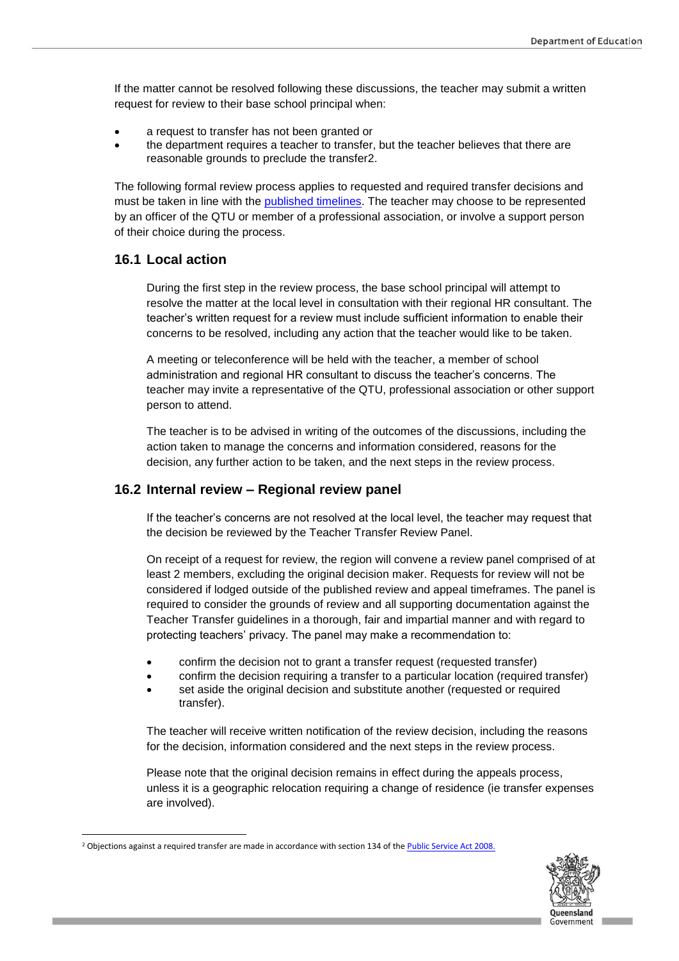If the matter cannot be resolved following these discussions, the teacher may submit a written request for review to their base school principal when:

- a request to transfer has not been granted or
- the department requires a teacher to transfer, but the teacher believes that there are reasonable grounds to preclude the transfer2.

The following formal review process applies to requested and required transfer decisions and must be taken in line with the [published timelines.](https://intranet.qed.qld.gov.au/Services/HumanResources/payrollhr/careers/managingyourcareer/teachertransfers) The teacher may choose to be represented by an officer of the QTU or member of a professional association, or involve a support person of their choice during the process.

### **16.1 Local action**

 $\overline{\phantom{a}}$ 

During the first step in the review process, the base school principal will attempt to resolve the matter at the local level in consultation with their regional HR consultant. The teacher's written request for a review must include sufficient information to enable their concerns to be resolved, including any action that the teacher would like to be taken.

A meeting or teleconference will be held with the teacher, a member of school administration and regional HR consultant to discuss the teacher's concerns. The teacher may invite a representative of the QTU, professional association or other support person to attend.

The teacher is to be advised in writing of the outcomes of the discussions, including the action taken to manage the concerns and information considered, reasons for the decision, any further action to be taken, and the next steps in the review process.

#### **16.2 Internal review – Regional review panel**

If the teacher's concerns are not resolved at the local level, the teacher may request that the decision be reviewed by the Teacher Transfer Review Panel.

On receipt of a request for review, the region will convene a review panel comprised of at least 2 members, excluding the original decision maker. Requests for review will not be considered if lodged outside of the published review and appeal timeframes. The panel is required to consider the grounds of review and all supporting documentation against the Teacher Transfer guidelines in a thorough, fair and impartial manner and with regard to protecting teachers' privacy. The panel may make a recommendation to:

- confirm the decision not to grant a transfer request (requested transfer)
- confirm the decision requiring a transfer to a particular location (required transfer)
- set aside the original decision and substitute another (requested or required transfer).

The teacher will receive written notification of the review decision, including the reasons for the decision, information considered and the next steps in the review process.

Please note that the original decision remains in effect during the appeals process, unless it is a geographic relocation requiring a change of residence (ie transfer expenses are involved).



<sup>&</sup>lt;sup>2</sup> Objections against a required transfer are made in accordance with section 134 of th[e Public Service Act 2008.](https://www.legislation.qld.gov.au/LEGISLTN/CURRENT/P/PublicServA08.pdf)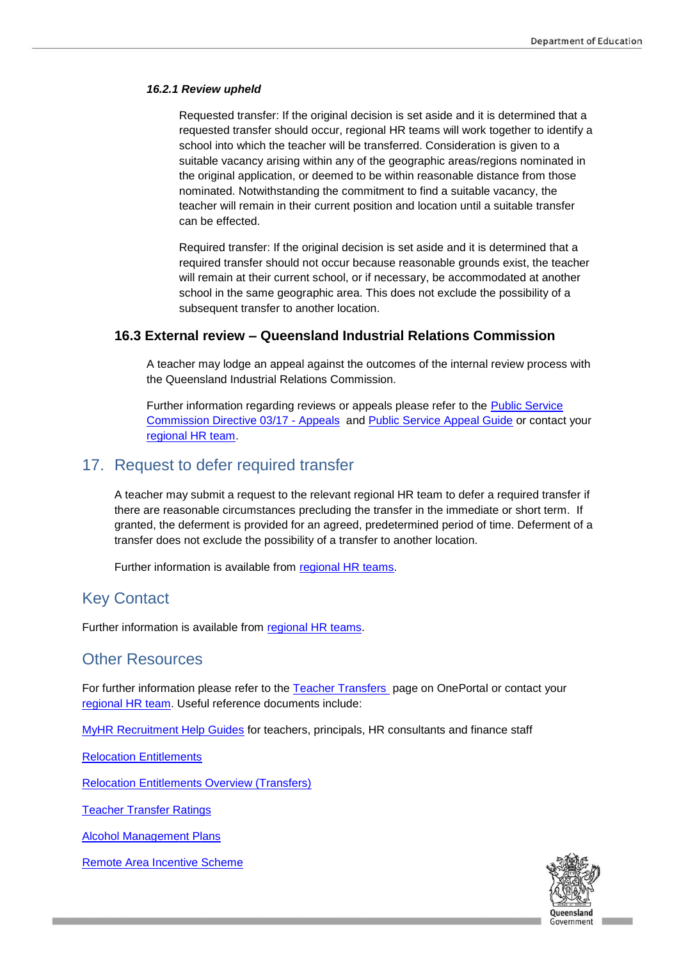#### *16.2.1 Review upheld*

Requested transfer: If the original decision is set aside and it is determined that a requested transfer should occur, regional HR teams will work together to identify a school into which the teacher will be transferred. Consideration is given to a suitable vacancy arising within any of the geographic areas/regions nominated in the original application, or deemed to be within reasonable distance from those nominated. Notwithstanding the commitment to find a suitable vacancy, the teacher will remain in their current position and location until a suitable transfer can be effected.

Required transfer: If the original decision is set aside and it is determined that a required transfer should not occur because reasonable grounds exist, the teacher will remain at their current school, or if necessary, be accommodated at another school in the same geographic area. This does not exclude the possibility of a subsequent transfer to another location.

### **16.3 External review – Queensland Industrial Relations Commission**

A teacher may lodge an appeal against the outcomes of the internal review process with the Queensland Industrial Relations Commission.

Further information regarding reviews or appeals please refer to the **Public Service** [Commission Directive 03/17 -](https://www.forgov.qld.gov.au/directives-policies-and-guidelines) Appeals and [Public Service Appeal Guide](https://www.qirc.qld.gov.au/sites/default/files/public_service_appeal_guide_v2.pdf?v=1546414963) or contact your [regional HR team.](hhttps://intranet.qed.qld.gov.au/Services/HumanResources/Forms/Documents/RegionalOfficeContactDetails.pdf)

### 17. Request to defer required transfer

A teacher may submit a request to the relevant regional HR team to defer a required transfer if there are reasonable circumstances precluding the transfer in the immediate or short term. If granted, the deferment is provided for an agreed, predetermined period of time. Deferment of a transfer does not exclude the possibility of a transfer to another location.

Further information is available from [regional HR teams.](https://intranet.qed.qld.gov.au/Services/HumanResources/Forms/Documents/RegionalOfficeContactDetails.pdf)

### Key Contact

Further information is available from [regional HR teams.](https://intranet.qed.qld.gov.au/Services/HumanResources/Forms/Documents/RegionalOfficeContactDetails.pdf)

### Other Resources

For further information please refer to the [Teacher Transfers](https://intranet.qed.qld.gov.au/Services/HumanResources/payrollhr/careers/managingyourcareer/teachertransfers) page on OnePortal or contact your [regional HR team.](https://intranet.qed.qld.gov.au/Services/HumanResources/Forms/Documents/RegionalOfficeContactDetails.pdf) Useful reference documents include:

[MyHR Recruitment Help Guides](https://intranet.qed.qld.gov.au/Services/HumanResources/payrollhr/trainingdevelopment/myhrtrainingsupport/Pages/myhrrecruitment.aspx) for teachers, principals, HR consultants and finance staff

[Relocation Entitlements](https://intranet.qed.qld.gov.au/Services/HumanResources/payrollhr/careers/managingyourcareer/Pages/relocationentitlements.aspx)

[Relocation Entitlements Overview \(Transfers\)](https://intranet.qed.qld.gov.au/Services/HumanResources/payrollhr/careers/Documents/relocations-entitlements-overview-transfers.pdf)

[Teacher Transfer Ratings](https://intranet.qed.qld.gov.au/Services/HumanResources/payrollhr/careers/Documents/transfer-ratings-guidelines.pdf)

[Alcohol Management Plans](https://www.qld.gov.au/atsi/health-staying-active/community-alcohol-restrictions/)

[Remote Area Incentive Scheme](http://ppr.det.qld.gov.au/pif/supdoc/Documents/rais-guideline.docx)

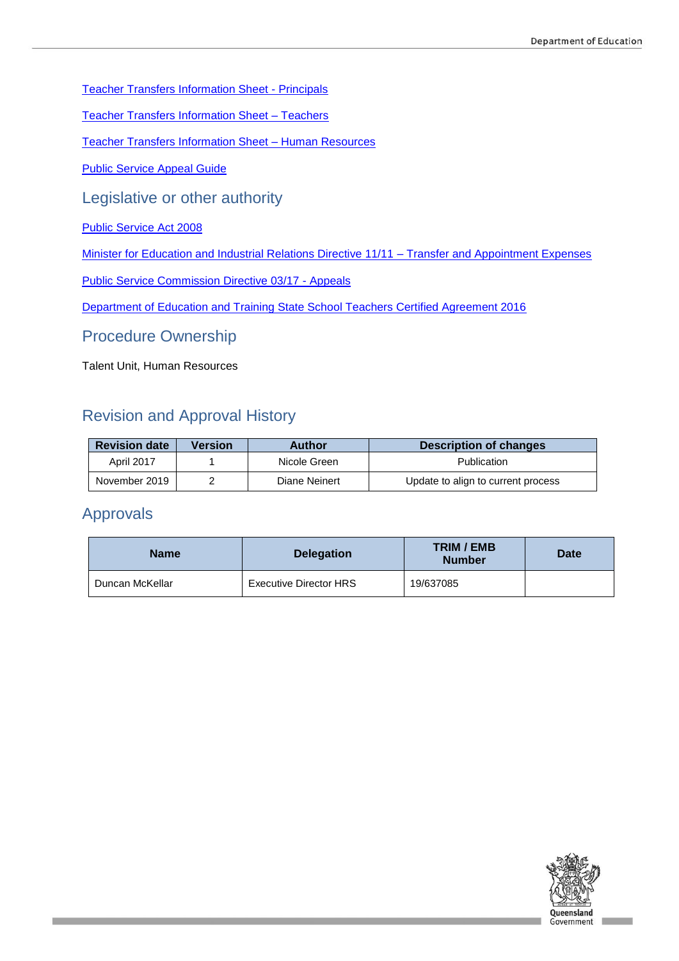[Teacher Transfers Information Sheet -](https://intranet.qed.qld.gov.au/Services/HumanResources/payrollhr/careers/Documents/teacher-transfer-information-sheet-principals.pdf) Principals

[Teacher Transfers Information Sheet –](https://intranet.qed.qld.gov.au/Services/HumanResources/payrollhr/careers/Documents/teacher-transfer-information-sheet-teachers.pdf) Teachers

[Teacher Transfers Information Sheet –](https://intranet.qed.qld.gov.au/Services/HumanResources/payrollhr/careers/Documents/teacher-transfer-information-sheet-hr.pdf) Human Resources

[Public Service Appeal Guide](https://www.qirc.qld.gov.au/sites/default/files/public_service_appeal_guide_v2.pdf?v=1546414963)

Legislative or other authority

[Public Service Act 2008](https://www.legislation.qld.gov.au/LEGISLTN/CURRENT/P/PublicServA08.pdf)

Minister for Education and Industrial Relations Directive 11/11 - Transfer and Appointment Expenses

[Public Service Commission Directive 03/17 -](https://www.forgov.qld.gov.au/directives-policies-and-guidelines) Appeals

Department of [Education and Training State School Teachers Certified Agreement 2016](https://www.qirc.qld.gov.au/sites/default/files/2016_ca34.pdf)

Procedure Ownership

Talent Unit, Human Resources

# Revision and Approval History

| <b>Revision date</b> | Version | Author        | Description of changes             |
|----------------------|---------|---------------|------------------------------------|
| <b>April 2017</b>    |         | Nicole Green  | Publication                        |
| November 2019        |         | Diane Neinert | Update to align to current process |

# Approvals

| <b>Name</b>     | <b>Delegation</b>      | <b>TRIM / EMB</b><br><b>Number</b> | Date |
|-----------------|------------------------|------------------------------------|------|
| Duncan McKellar | Executive Director HRS | 19/637085                          |      |